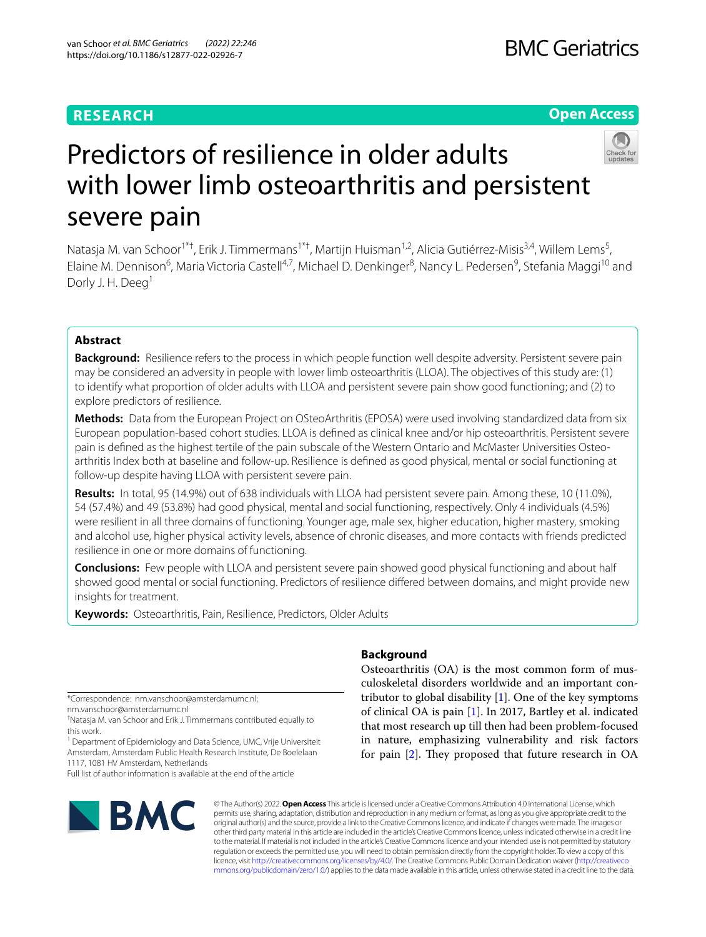# **RESEARCH**

# **Open Access**



# Predictors of resilience in older adults with lower limb osteoarthritis and persistent severe pain

Natasja M. van Schoor<sup>1\*†</sup>, Erik J. Timmermans<sup>1\*†</sup>, Martijn Huisman<sup>1,2</sup>, Alicia Gutiérrez-Misis<sup>3,4</sup>, Willem Lems<sup>5</sup>, Elaine M. Dennison<sup>6</sup>, Maria Victoria Castell<sup>4,7</sup>, Michael D. Denkinger<sup>8</sup>, Nancy L. Pedersen<sup>9</sup>, Stefania Maggi<sup>10</sup> and Dorly J. H. Deeg<sup>1</sup>

# **Abstract**

**Background:** Resilience refers to the process in which people function well despite adversity. Persistent severe pain may be considered an adversity in people with lower limb osteoarthritis (LLOA). The objectives of this study are: (1) to identify what proportion of older adults with LLOA and persistent severe pain show good functioning; and (2) to explore predictors of resilience.

**Methods:** Data from the European Project on OSteoArthritis (EPOSA) were used involving standardized data from six European population-based cohort studies. LLOA is defned as clinical knee and/or hip osteoarthritis. Persistent severe pain is defined as the highest tertile of the pain subscale of the Western Ontario and McMaster Universities Osteoarthritis Index both at baseline and follow-up. Resilience is defned as good physical, mental or social functioning at follow-up despite having LLOA with persistent severe pain.

**Results:** In total, 95 (14.9%) out of 638 individuals with LLOA had persistent severe pain. Among these, 10 (11.0%), 54 (57.4%) and 49 (53.8%) had good physical, mental and social functioning, respectively. Only 4 individuals (4.5%) were resilient in all three domains of functioning. Younger age, male sex, higher education, higher mastery, smoking and alcohol use, higher physical activity levels, absence of chronic diseases, and more contacts with friends predicted resilience in one or more domains of functioning.

**Conclusions:** Few people with LLOA and persistent severe pain showed good physical functioning and about half showed good mental or social functioning. Predictors of resilience difered between domains, and might provide new insights for treatment.

**Keywords:** Osteoarthritis, Pain, Resilience, Predictors, Older Adults

\*Correspondence: nm.vanschoor@amsterdamumc.nl;

nm.vanschoor@amsterdamumc.nl

† Natasja M. van Schoor and Erik J. Timmermans contributed equally to this work.

<sup>1</sup> Department of Epidemiology and Data Science, UMC, Vrije Universiteit Amsterdam, Amsterdam Public Health Research Institute, De Boelelaan 1117, 1081 HV Amsterdam, Netherlands

Full list of author information is available at the end of the article



# **Background**

Osteoarthritis (OA) is the most common form of musculoskeletal disorders worldwide and an important contributor to global disability  $[1]$  $[1]$ . One of the key symptoms of clinical OA is pain [\[1](#page-7-0)]. In 2017, Bartley et al. indicated that most research up till then had been problem-focused in nature, emphasizing vulnerability and risk factors for pain  $[2]$ . They proposed that future research in OA

© The Author(s) 2022. **Open Access** This article is licensed under a Creative Commons Attribution 4.0 International License, which permits use, sharing, adaptation, distribution and reproduction in any medium or format, as long as you give appropriate credit to the original author(s) and the source, provide a link to the Creative Commons licence, and indicate if changes were made. The images or other third party material in this article are included in the article's Creative Commons licence, unless indicated otherwise in a credit line to the material. If material is not included in the article's Creative Commons licence and your intended use is not permitted by statutory regulation or exceeds the permitted use, you will need to obtain permission directly from the copyright holder. To view a copy of this licence, visit [http://creativecommons.org/licenses/by/4.0/.](http://creativecommons.org/licenses/by/4.0/) The Creative Commons Public Domain Dedication waiver ([http://creativeco](http://creativecommons.org/publicdomain/zero/1.0/) [mmons.org/publicdomain/zero/1.0/](http://creativecommons.org/publicdomain/zero/1.0/)) applies to the data made available in this article, unless otherwise stated in a credit line to the data.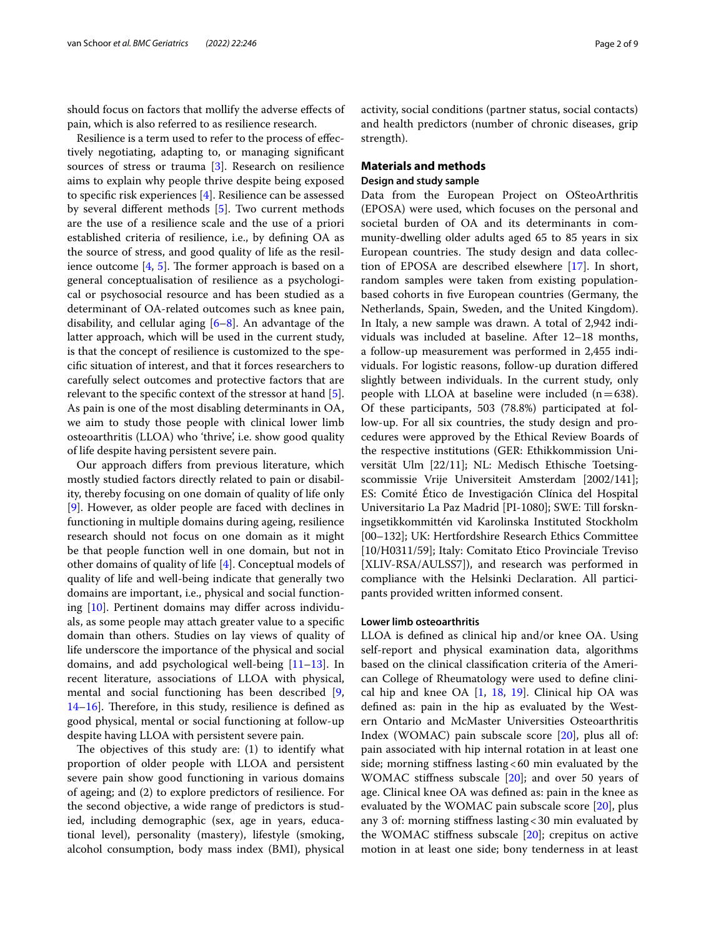should focus on factors that mollify the adverse efects of pain, which is also referred to as resilience research.

Resilience is a term used to refer to the process of efectively negotiating, adapting to, or managing signifcant sources of stress or trauma [\[3](#page-7-2)]. Research on resilience aims to explain why people thrive despite being exposed to specifc risk experiences [\[4](#page-7-3)]. Resilience can be assessed by several diferent methods [\[5](#page-7-4)]. Two current methods are the use of a resilience scale and the use of a priori established criteria of resilience, i.e., by defning OA as the source of stress, and good quality of life as the resilience outcome  $[4, 5]$  $[4, 5]$  $[4, 5]$  $[4, 5]$ . The former approach is based on a general conceptualisation of resilience as a psychological or psychosocial resource and has been studied as a determinant of OA-related outcomes such as knee pain, disability, and cellular aging [\[6](#page-7-5)[–8\]](#page-7-6). An advantage of the latter approach, which will be used in the current study, is that the concept of resilience is customized to the specifc situation of interest, and that it forces researchers to carefully select outcomes and protective factors that are relevant to the specifc context of the stressor at hand [\[5](#page-7-4)]. As pain is one of the most disabling determinants in OA, we aim to study those people with clinical lower limb osteoarthritis (LLOA) who 'thrive', i.e. show good quality of life despite having persistent severe pain.

Our approach difers from previous literature, which mostly studied factors directly related to pain or disability, thereby focusing on one domain of quality of life only [[9\]](#page-7-7). However, as older people are faced with declines in functioning in multiple domains during ageing, resilience research should not focus on one domain as it might be that people function well in one domain, but not in other domains of quality of life [\[4](#page-7-3)]. Conceptual models of quality of life and well-being indicate that generally two domains are important, i.e., physical and social functioning [[10](#page-7-8)]. Pertinent domains may difer across individuals, as some people may attach greater value to a specifc domain than others. Studies on lay views of quality of life underscore the importance of the physical and social domains, and add psychological well-being [[11](#page-7-9)[–13](#page-7-10)]. In recent literature, associations of LLOA with physical, mental and social functioning has been described [\[9](#page-7-7),  $14-16$  $14-16$ ]. Therefore, in this study, resilience is defined as good physical, mental or social functioning at follow-up despite having LLOA with persistent severe pain.

The objectives of this study are:  $(1)$  to identify what proportion of older people with LLOA and persistent severe pain show good functioning in various domains of ageing; and (2) to explore predictors of resilience. For the second objective, a wide range of predictors is studied, including demographic (sex, age in years, educational level), personality (mastery), lifestyle (smoking, alcohol consumption, body mass index (BMI), physical activity, social conditions (partner status, social contacts) and health predictors (number of chronic diseases, grip strength).

# **Materials and methods Design and study sample**

Data from the European Project on OSteoArthritis (EPOSA) were used, which focuses on the personal and societal burden of OA and its determinants in community-dwelling older adults aged 65 to 85 years in six European countries. The study design and data collection of EPOSA are described elsewhere [\[17\]](#page-8-1). In short, random samples were taken from existing populationbased cohorts in fve European countries (Germany, the Netherlands, Spain, Sweden, and the United Kingdom). In Italy, a new sample was drawn. A total of 2,942 individuals was included at baseline. After 12–18 months, a follow-up measurement was performed in 2,455 individuals. For logistic reasons, follow-up duration difered slightly between individuals. In the current study, only people with LLOA at baseline were included  $(n=638)$ . Of these participants, 503 (78.8%) participated at follow-up. For all six countries, the study design and procedures were approved by the Ethical Review Boards of the respective institutions (GER: Ethikkommission Universität Ulm [22/11]; NL: Medisch Ethische Toetsingscommissie Vrije Universiteit Amsterdam [2002/141]; ES: Comité Ético de Investigación Clínica del Hospital Universitario La Paz Madrid [PI-1080]; SWE: Till forskningsetikkommittén vid Karolinska Instituted Stockholm [00–132]; UK: Hertfordshire Research Ethics Committee [10/H0311/59]; Italy: Comitato Etico Provinciale Treviso [XLIV-RSA/AULSS7]), and research was performed in compliance with the Helsinki Declaration. All participants provided written informed consent.

# **Lower limb osteoarthritis**

LLOA is defned as clinical hip and/or knee OA. Using self-report and physical examination data, algorithms based on the clinical classifcation criteria of the American College of Rheumatology were used to defne clinical hip and knee OA  $[1, 18, 19]$  $[1, 18, 19]$  $[1, 18, 19]$  $[1, 18, 19]$  $[1, 18, 19]$  $[1, 18, 19]$ . Clinical hip OA was defned as: pain in the hip as evaluated by the Western Ontario and McMaster Universities Osteoarthritis Index (WOMAC) pain subscale score [\[20](#page-8-4)], plus all of: pain associated with hip internal rotation in at least one side; morning stiffness lasting  $<60$  min evaluated by the WOMAC stifness subscale [\[20\]](#page-8-4); and over 50 years of age. Clinical knee OA was defned as: pain in the knee as evaluated by the WOMAC pain subscale score [[20](#page-8-4)], plus any 3 of: morning stifness lasting<30 min evaluated by the WOMAC stifness subscale [\[20](#page-8-4)]; crepitus on active motion in at least one side; bony tenderness in at least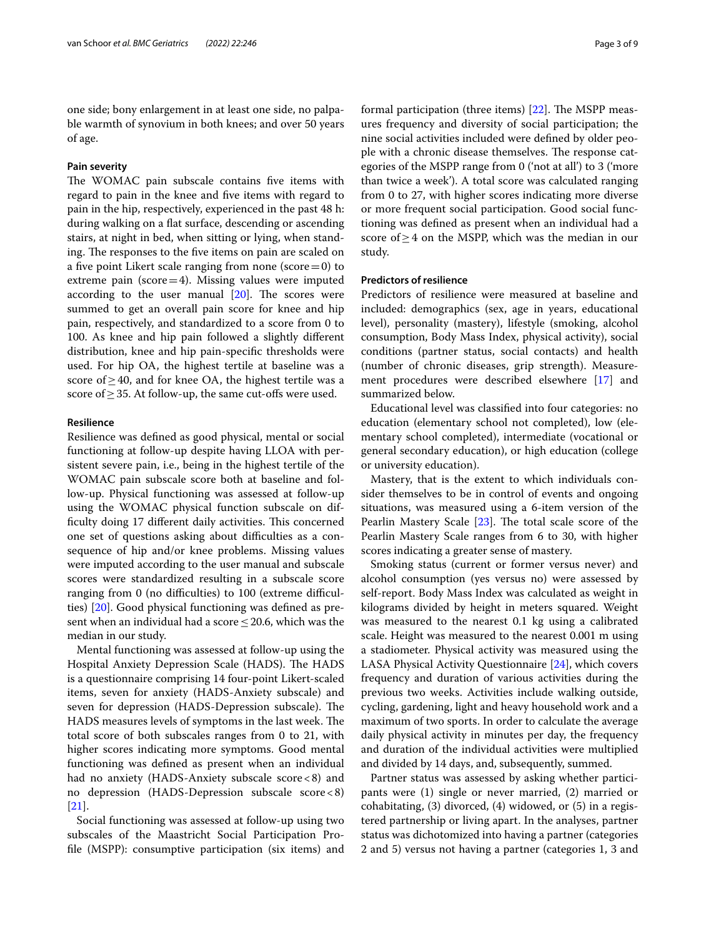one side; bony enlargement in at least one side, no palpable warmth of synovium in both knees; and over 50 years of age.

# **Pain severity**

The WOMAC pain subscale contains five items with regard to pain in the knee and fve items with regard to pain in the hip, respectively, experienced in the past 48 h: during walking on a flat surface, descending or ascending stairs, at night in bed, when sitting or lying, when standing. The responses to the five items on pain are scaled on a five point Likert scale ranging from none (score=0) to extreme pain ( $score=4$ ). Missing values were imputed according to the user manual  $[20]$  $[20]$ . The scores were summed to get an overall pain score for knee and hip pain, respectively, and standardized to a score from 0 to 100. As knee and hip pain followed a slightly diferent distribution, knee and hip pain-specifc thresholds were used. For hip OA, the highest tertile at baseline was a score of  $\geq$  40, and for knee OA, the highest tertile was a score of  $\geq$  35. At follow-up, the same cut-offs were used.

# **Resilience**

Resilience was defned as good physical, mental or social functioning at follow-up despite having LLOA with persistent severe pain, i.e., being in the highest tertile of the WOMAC pain subscale score both at baseline and follow-up. Physical functioning was assessed at follow-up using the WOMAC physical function subscale on difficulty doing 17 different daily activities. This concerned one set of questions asking about difficulties as a consequence of hip and/or knee problems. Missing values were imputed according to the user manual and subscale scores were standardized resulting in a subscale score ranging from 0 (no difficulties) to 100 (extreme difficulties) [\[20\]](#page-8-4). Good physical functioning was defned as present when an individual had a score  $\leq$  20.6, which was the median in our study.

Mental functioning was assessed at follow-up using the Hospital Anxiety Depression Scale (HADS). The HADS is a questionnaire comprising 14 four-point Likert-scaled items, seven for anxiety (HADS-Anxiety subscale) and seven for depression (HADS-Depression subscale). The HADS measures levels of symptoms in the last week. The total score of both subscales ranges from 0 to 21, with higher scores indicating more symptoms. Good mental functioning was defned as present when an individual had no anxiety (HADS-Anxiety subscale score<8) and no depression (HADS-Depression subscale score<8) [[21\]](#page-8-5).

Social functioning was assessed at follow-up using two subscales of the Maastricht Social Participation Profle (MSPP): consumptive participation (six items) and formal participation (three items) [\[22](#page-8-6)]. The MSPP measures frequency and diversity of social participation; the nine social activities included were defned by older people with a chronic disease themselves. The response categories of the MSPP range from 0 ('not at all') to 3 ('more than twice a week'). A total score was calculated ranging from 0 to 27, with higher scores indicating more diverse or more frequent social participation. Good social functioning was defned as present when an individual had a score of≥4 on the MSPP, which was the median in our study.

# **Predictors of resilience**

Predictors of resilience were measured at baseline and included: demographics (sex, age in years, educational level), personality (mastery), lifestyle (smoking, alcohol consumption, Body Mass Index, physical activity), social conditions (partner status, social contacts) and health (number of chronic diseases, grip strength). Measurement procedures were described elsewhere [\[17](#page-8-1)] and summarized below.

Educational level was classifed into four categories: no education (elementary school not completed), low (elementary school completed), intermediate (vocational or general secondary education), or high education (college or university education).

Mastery, that is the extent to which individuals consider themselves to be in control of events and ongoing situations, was measured using a 6-item version of the Pearlin Mastery Scale  $[23]$  $[23]$ . The total scale score of the Pearlin Mastery Scale ranges from 6 to 30, with higher scores indicating a greater sense of mastery.

Smoking status (current or former versus never) and alcohol consumption (yes versus no) were assessed by self-report. Body Mass Index was calculated as weight in kilograms divided by height in meters squared. Weight was measured to the nearest 0.1 kg using a calibrated scale. Height was measured to the nearest 0.001 m using a stadiometer. Physical activity was measured using the LASA Physical Activity Questionnaire [\[24](#page-8-8)], which covers frequency and duration of various activities during the previous two weeks. Activities include walking outside, cycling, gardening, light and heavy household work and a maximum of two sports. In order to calculate the average daily physical activity in minutes per day, the frequency and duration of the individual activities were multiplied and divided by 14 days, and, subsequently, summed.

Partner status was assessed by asking whether participants were (1) single or never married, (2) married or cohabitating, (3) divorced, (4) widowed, or (5) in a registered partnership or living apart. In the analyses, partner status was dichotomized into having a partner (categories 2 and 5) versus not having a partner (categories 1, 3 and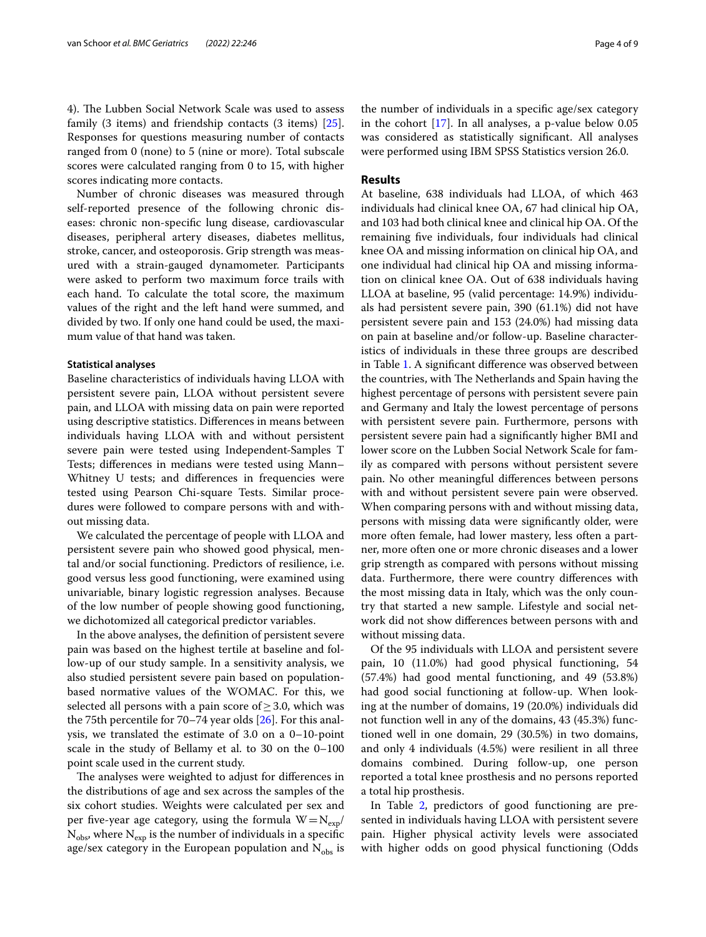4). The Lubben Social Network Scale was used to assess family (3 items) and friendship contacts (3 items) [\[25](#page-8-9)]. Responses for questions measuring number of contacts ranged from 0 (none) to 5 (nine or more). Total subscale scores were calculated ranging from 0 to 15, with higher scores indicating more contacts.

Number of chronic diseases was measured through self-reported presence of the following chronic diseases: chronic non-specifc lung disease, cardiovascular diseases, peripheral artery diseases, diabetes mellitus, stroke, cancer, and osteoporosis. Grip strength was measured with a strain-gauged dynamometer. Participants were asked to perform two maximum force trails with each hand. To calculate the total score, the maximum values of the right and the left hand were summed, and divided by two. If only one hand could be used, the maximum value of that hand was taken.

## **Statistical analyses**

Baseline characteristics of individuals having LLOA with persistent severe pain, LLOA without persistent severe pain, and LLOA with missing data on pain were reported using descriptive statistics. Diferences in means between individuals having LLOA with and without persistent severe pain were tested using Independent-Samples T Tests; diferences in medians were tested using Mann– Whitney U tests; and diferences in frequencies were tested using Pearson Chi-square Tests. Similar procedures were followed to compare persons with and without missing data.

We calculated the percentage of people with LLOA and persistent severe pain who showed good physical, mental and/or social functioning. Predictors of resilience, i.e. good versus less good functioning, were examined using univariable, binary logistic regression analyses. Because of the low number of people showing good functioning, we dichotomized all categorical predictor variables.

In the above analyses, the defnition of persistent severe pain was based on the highest tertile at baseline and follow-up of our study sample. In a sensitivity analysis, we also studied persistent severe pain based on populationbased normative values of the WOMAC. For this, we selected all persons with a pain score of  $\geq$  3.0, which was the 75th percentile for 70–74 year olds [\[26\]](#page-8-10). For this analysis, we translated the estimate of 3.0 on a 0–10-point scale in the study of Bellamy et al. to 30 on the 0–100 point scale used in the current study.

The analyses were weighted to adjust for differences in the distributions of age and sex across the samples of the six cohort studies. Weights were calculated per sex and per five-year age category, using the formula  $W = N_{\text{exp}}/T$  $N_{obs}$ , where  $N_{exp}$  is the number of individuals in a specific age/sex category in the European population and  $N_{obs}$  is the number of individuals in a specifc age/sex category in the cohort [\[17](#page-8-1)]. In all analyses, a p-value below 0.05 was considered as statistically signifcant. All analyses were performed using IBM SPSS Statistics version 26.0.

# **Results**

At baseline, 638 individuals had LLOA, of which 463 individuals had clinical knee OA, 67 had clinical hip OA, and 103 had both clinical knee and clinical hip OA. Of the remaining fve individuals, four individuals had clinical knee OA and missing information on clinical hip OA, and one individual had clinical hip OA and missing information on clinical knee OA. Out of 638 individuals having LLOA at baseline, 95 (valid percentage: 14.9%) individuals had persistent severe pain, 390 (61.1%) did not have persistent severe pain and 153 (24.0%) had missing data on pain at baseline and/or follow-up. Baseline characteristics of individuals in these three groups are described in Table [1.](#page-4-0) A signifcant diference was observed between the countries, with The Netherlands and Spain having the highest percentage of persons with persistent severe pain and Germany and Italy the lowest percentage of persons with persistent severe pain. Furthermore, persons with persistent severe pain had a signifcantly higher BMI and lower score on the Lubben Social Network Scale for family as compared with persons without persistent severe pain. No other meaningful diferences between persons with and without persistent severe pain were observed. When comparing persons with and without missing data, persons with missing data were signifcantly older, were more often female, had lower mastery, less often a partner, more often one or more chronic diseases and a lower grip strength as compared with persons without missing data. Furthermore, there were country diferences with the most missing data in Italy, which was the only country that started a new sample. Lifestyle and social network did not show diferences between persons with and without missing data.

Of the 95 individuals with LLOA and persistent severe pain, 10 (11.0%) had good physical functioning, 54 (57.4%) had good mental functioning, and 49 (53.8%) had good social functioning at follow-up. When looking at the number of domains, 19 (20.0%) individuals did not function well in any of the domains, 43 (45.3%) functioned well in one domain, 29 (30.5%) in two domains, and only 4 individuals (4.5%) were resilient in all three domains combined. During follow-up, one person reported a total knee prosthesis and no persons reported a total hip prosthesis.

In Table [2,](#page-5-0) predictors of good functioning are presented in individuals having LLOA with persistent severe pain. Higher physical activity levels were associated with higher odds on good physical functioning (Odds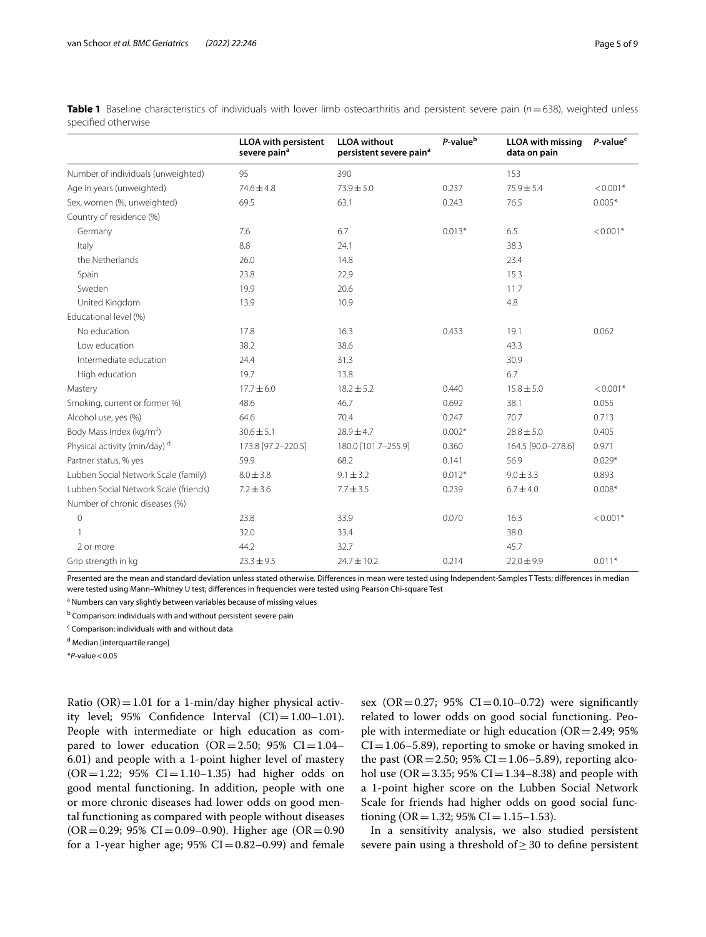<span id="page-4-0"></span>

| Table 1 Baseline characteristics of individuals with lower limb osteoarthritis and persistent severe pain (n=638), weighted unless |  |  |  |  |  |
|------------------------------------------------------------------------------------------------------------------------------------|--|--|--|--|--|
| specified otherwise                                                                                                                |  |  |  |  |  |

|                                          | <b>LLOA</b> with persistent<br>severe pain <sup>a</sup> | <b>LLOA</b> without<br>persistent severe pain <sup>a</sup> | P-value <sup>b</sup> | <b>LLOA</b> with missing<br>data on pain | P-value <sup>c</sup> |
|------------------------------------------|---------------------------------------------------------|------------------------------------------------------------|----------------------|------------------------------------------|----------------------|
| Number of individuals (unweighted)       | 95                                                      | 390                                                        |                      | 153                                      |                      |
| Age in years (unweighted)                | $74.6 \pm 4.8$                                          | $73.9 \pm 5.0$                                             | 0.237                | $75.9 \pm 5.4$                           | $< 0.001*$           |
| Sex, women (%, unweighted)               | 69.5                                                    | 63.1                                                       | 0.243                | 76.5                                     | $0.005*$             |
| Country of residence (%)                 |                                                         |                                                            |                      |                                          |                      |
| Germany                                  | 7.6                                                     | 6.7                                                        | $0.013*$             | 6.5                                      | $< 0.001*$           |
| Italy                                    | 8.8                                                     | 24.1                                                       |                      | 38.3                                     |                      |
| the Netherlands                          | 26.0                                                    | 14.8                                                       |                      | 23.4                                     |                      |
| Spain                                    | 23.8                                                    | 22.9                                                       |                      | 15.3                                     |                      |
| Sweden                                   | 19.9                                                    | 20.6                                                       |                      | 11.7                                     |                      |
| United Kingdom                           | 13.9                                                    | 10.9                                                       |                      | 4.8                                      |                      |
| Educational level (%)                    |                                                         |                                                            |                      |                                          |                      |
| No education                             | 17.8                                                    | 16.3                                                       | 0.433                | 19.1                                     | 0.062                |
| Low education                            | 38.2                                                    | 38.6                                                       |                      | 43.3                                     |                      |
| Intermediate education                   | 24.4                                                    | 31.3                                                       |                      | 30.9                                     |                      |
| High education                           | 19.7                                                    | 13.8                                                       |                      | 6.7                                      |                      |
| Mastery                                  | $17.7 \pm 6.0$                                          | $18.2 \pm 5.2$                                             | 0.440                | $15.8 \pm 5.0$                           | $< 0.001*$           |
| Smoking, current or former %)            | 48.6                                                    | 46.7                                                       | 0.692                | 38.1                                     | 0.055                |
| Alcohol use, yes (%)                     | 64.6                                                    | 70.4                                                       | 0.247                | 70.7                                     | 0.713                |
| Body Mass Index (kg/m <sup>2</sup> )     | $30.6 \pm 5.1$                                          | $28.9 \pm 4.7$                                             | $0.002*$             | $28.8 \pm 5.0$                           | 0.405                |
| Physical activity (min/day) <sup>d</sup> | 173.8 [97.2-220.5]                                      | 180.0 [101.7-255.9]                                        | 0.360                | 164.5 [90.0-278.6]                       | 0.971                |
| Partner status, % yes                    | 59.9                                                    | 68.2                                                       | 0.141                | 56.9                                     | $0.029*$             |
| Lubben Social Network Scale (family)     | $8.0 \pm 3.8$                                           | $9.1 \pm 3.2$                                              | $0.012*$             | $9.0 \pm 3.3$                            | 0.893                |
| Lubben Social Network Scale (friends)    | $7.2 \pm 3.6$                                           | $7.7 \pm 3.5$                                              | 0.239                | $6.7 \pm 4.0$                            | $0.008*$             |
| Number of chronic diseases (%)           |                                                         |                                                            |                      |                                          |                      |
| $\mathsf{O}\xspace$                      | 23.8                                                    | 33.9                                                       | 0.070                | 16.3                                     | $< 0.001*$           |
|                                          | 32.0                                                    | 33.4                                                       |                      | 38.0                                     |                      |
| 2 or more                                | 44.2                                                    | 32.7                                                       |                      | 45.7                                     |                      |
| Grip strength in kg                      | $23.3 \pm 9.5$                                          | 24.7±10.2                                                  | 0.214                | $22.0 \pm 9.9$                           | $0.011*$             |

Presented are the mean and standard deviation unless stated otherwise. Diferences in mean were tested using Independent-Samples T Tests; diferences in median were tested using Mann–Whitney U test; diferences in frequencies were tested using Pearson Chi-square Test

<sup>a</sup> Numbers can vary slightly between variables because of missing values

<sup>b</sup> Comparison: individuals with and without persistent severe pain

<sup>c</sup> Comparison: individuals with and without data

<sup>d</sup> Median [interquartile range]

\**P*-value<0.05

Ratio  $(OR) = 1.01$  for a 1-min/day higher physical activity level; 95% Confidence Interval  $(CI) = 1.00-1.01$ . People with intermediate or high education as compared to lower education (OR=2.50; 95% CI=1.04– 6.01) and people with a 1-point higher level of mastery  $(OR = 1.22; 95\% CI = 1.10 - 1.35)$  had higher odds on good mental functioning. In addition, people with one or more chronic diseases had lower odds on good mental functioning as compared with people without diseases  $(OR = 0.29; 95\% CI = 0.09 - 0.90)$ . Higher age  $(OR = 0.90)$ for a 1-year higher age;  $95\%$  CI=0.82–0.99) and female sex  $(OR = 0.27; 95\% \text{ CI} = 0.10 - 0.72)$  were significantly related to lower odds on good social functioning. People with intermediate or high education ( $OR = 2.49$ ; 95%  $CI = 1.06-5.89$ , reporting to smoke or having smoked in the past ( $OR = 2.50$ ; 95%  $CI = 1.06 - 5.89$ ), reporting alcohol use ( $OR = 3.35$ ; 95%  $CI = 1.34 - 8.38$ ) and people with a 1-point higher score on the Lubben Social Network Scale for friends had higher odds on good social functioning (OR = 1.32; 95% CI = 1.15–1.53).

In a sensitivity analysis, we also studied persistent severe pain using a threshold of  $\geq$  30 to define persistent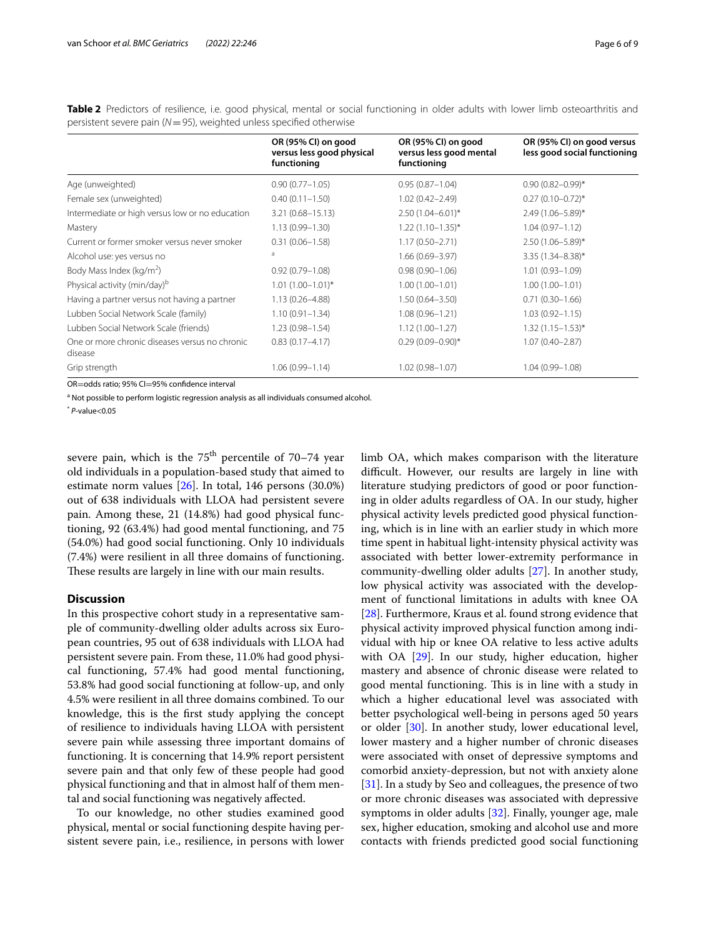|                                                           | OR (95% CI) on good                      | OR (95% CI) on good                    | OR (95% CI) on good versus   |  |
|-----------------------------------------------------------|------------------------------------------|----------------------------------------|------------------------------|--|
|                                                           | versus less good physical<br>functioning | versus less good mental<br>functioning | less good social functioning |  |
| Age (unweighted)                                          | $0.90(0.77 - 1.05)$                      | $0.95(0.87 - 1.04)$                    | $0.90(0.82 - 0.99)$ *        |  |
| Female sex (unweighted)                                   | $0.40(0.11 - 1.50)$                      | $1.02(0.42 - 2.49)$                    | $0.27(0.10-0.72)$ *          |  |
| Intermediate or high versus low or no education           | $3.21(0.68 - 15.13)$                     | $2.50(1.04 - 6.01)^*$                  | $2.49(1.06 - 5.89)^*$        |  |
| Mastery                                                   | $1.13(0.99 - 1.30)$                      | $1.22(1.10-1.35)$ *                    | $1.04(0.97 - 1.12)$          |  |
| Current or former smoker versus never smoker              | $0.31(0.06 - 1.58)$                      | $1.17(0.50 - 2.71)$                    | $2.50(1.06 - 5.89)^*$        |  |
| Alcohol use: yes versus no                                | a                                        | $1.66(0.69 - 3.97)$                    | $3.35(1.34 - 8.38)^*$        |  |
| Body Mass Index (kg/m <sup>2</sup> )                      | $0.92(0.79 - 1.08)$                      | $0.98(0.90 - 1.06)$                    | $1.01(0.93 - 1.09)$          |  |
| Physical activity (min/day) <sup>b</sup>                  | $1.01(1.00-1.01)^*$                      | $1.00(1.00 - 1.01)$                    | $1.00(1.00 - 1.01)$          |  |
| Having a partner versus not having a partner              | $1.13(0.26 - 4.88)$                      | $1.50(0.64 - 3.50)$                    | $0.71(0.30 - 1.66)$          |  |
| Lubben Social Network Scale (family)                      | $1.10(0.91 - 1.34)$                      | $1.08(0.96 - 1.21)$                    | $1.03(0.92 - 1.15)$          |  |
| Lubben Social Network Scale (friends)                     | $1.23(0.98 - 1.54)$                      | $1.12(1.00 - 1.27)$                    | $1.32(1.15 - 1.53)^{*}$      |  |
| One or more chronic diseases versus no chronic<br>disease | $0.83(0.17 - 4.17)$                      | $0.29(0.09 - 0.90)$ *                  | $1.07(0.40 - 2.87)$          |  |
| Grip strength                                             | $1.06(0.99 - 1.14)$                      | $1.02(0.98 - 1.07)$                    | $1.04(0.99 - 1.08)$          |  |
|                                                           |                                          |                                        |                              |  |

<span id="page-5-0"></span>**Table 2** Predictors of resilience, i.e. good physical, mental or social functioning in older adults with lower limb osteoarthritis and persistent severe pain (*N*=95), weighted unless specifed otherwise

OR=odds ratio; 95% CI=95% confdence interval

<sup>a</sup> Not possible to perform logistic regression analysis as all individuals consumed alcohol.

\* *P*-value<0.05

severe pain, which is the  $75<sup>th</sup>$  percentile of  $70-74$  year old individuals in a population-based study that aimed to estimate norm values [\[26](#page-8-10)]. In total, 146 persons (30.0%) out of 638 individuals with LLOA had persistent severe pain. Among these, 21 (14.8%) had good physical functioning, 92 (63.4%) had good mental functioning, and 75 (54.0%) had good social functioning. Only 10 individuals (7.4%) were resilient in all three domains of functioning. These results are largely in line with our main results.

# **Discussion**

In this prospective cohort study in a representative sample of community-dwelling older adults across six European countries, 95 out of 638 individuals with LLOA had persistent severe pain. From these, 11.0% had good physical functioning, 57.4% had good mental functioning, 53.8% had good social functioning at follow-up, and only 4.5% were resilient in all three domains combined. To our knowledge, this is the frst study applying the concept of resilience to individuals having LLOA with persistent severe pain while assessing three important domains of functioning. It is concerning that 14.9% report persistent severe pain and that only few of these people had good physical functioning and that in almost half of them mental and social functioning was negatively afected.

To our knowledge, no other studies examined good physical, mental or social functioning despite having persistent severe pain, i.e., resilience, in persons with lower limb OA, which makes comparison with the literature difficult. However, our results are largely in line with literature studying predictors of good or poor functioning in older adults regardless of OA. In our study, higher physical activity levels predicted good physical functioning, which is in line with an earlier study in which more time spent in habitual light-intensity physical activity was associated with better lower-extremity performance in community-dwelling older adults [[27\]](#page-8-11). In another study, low physical activity was associated with the development of functional limitations in adults with knee OA [[28\]](#page-8-12). Furthermore, Kraus et al. found strong evidence that physical activity improved physical function among individual with hip or knee OA relative to less active adults with OA [[29\]](#page-8-13). In our study, higher education, higher mastery and absence of chronic disease were related to good mental functioning. This is in line with a study in which a higher educational level was associated with better psychological well-being in persons aged 50 years or older [\[30](#page-8-14)]. In another study, lower educational level, lower mastery and a higher number of chronic diseases were associated with onset of depressive symptoms and comorbid anxiety-depression, but not with anxiety alone [[31\]](#page-8-15). In a study by Seo and colleagues, the presence of two or more chronic diseases was associated with depressive symptoms in older adults [[32\]](#page-8-16). Finally, younger age, male sex, higher education, smoking and alcohol use and more contacts with friends predicted good social functioning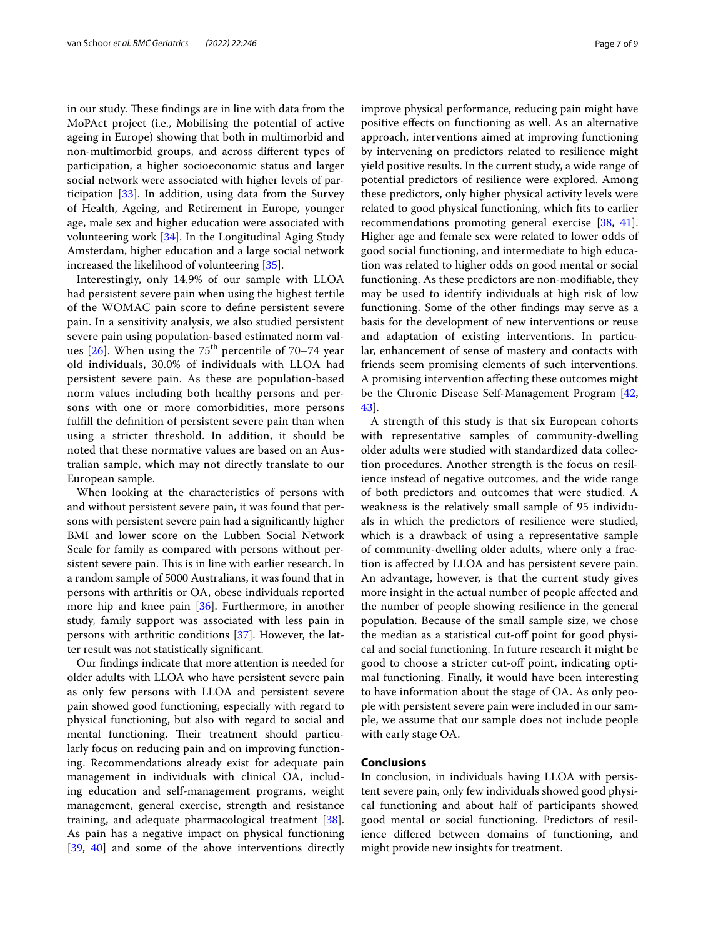in our study. These findings are in line with data from the MoPAct project (i.e., Mobilising the potential of active ageing in Europe) showing that both in multimorbid and non-multimorbid groups, and across diferent types of participation, a higher socioeconomic status and larger social network were associated with higher levels of participation [[33\]](#page-8-17). In addition, using data from the Survey of Health, Ageing, and Retirement in Europe, younger age, male sex and higher education were associated with volunteering work [\[34](#page-8-18)]. In the Longitudinal Aging Study Amsterdam, higher education and a large social network increased the likelihood of volunteering [\[35](#page-8-19)].

Interestingly, only 14.9% of our sample with LLOA had persistent severe pain when using the highest tertile of the WOMAC pain score to defne persistent severe pain. In a sensitivity analysis, we also studied persistent severe pain using population-based estimated norm values  $[26]$  $[26]$ . When using the 75<sup>th</sup> percentile of 70–74 year old individuals, 30.0% of individuals with LLOA had persistent severe pain. As these are population-based norm values including both healthy persons and persons with one or more comorbidities, more persons fulfll the defnition of persistent severe pain than when using a stricter threshold. In addition, it should be noted that these normative values are based on an Australian sample, which may not directly translate to our European sample.

When looking at the characteristics of persons with and without persistent severe pain, it was found that persons with persistent severe pain had a signifcantly higher BMI and lower score on the Lubben Social Network Scale for family as compared with persons without persistent severe pain. This is in line with earlier research. In a random sample of 5000 Australians, it was found that in persons with arthritis or OA, obese individuals reported more hip and knee pain [\[36\]](#page-8-20). Furthermore, in another study, family support was associated with less pain in persons with arthritic conditions [\[37](#page-8-21)]. However, the latter result was not statistically signifcant.

Our fndings indicate that more attention is needed for older adults with LLOA who have persistent severe pain as only few persons with LLOA and persistent severe pain showed good functioning, especially with regard to physical functioning, but also with regard to social and mental functioning. Their treatment should particularly focus on reducing pain and on improving functioning. Recommendations already exist for adequate pain management in individuals with clinical OA, including education and self-management programs, weight management, general exercise, strength and resistance training, and adequate pharmacological treatment [\[38](#page-8-22)]. As pain has a negative impact on physical functioning [[39,](#page-8-23) [40\]](#page-8-24) and some of the above interventions directly improve physical performance, reducing pain might have positive efects on functioning as well. As an alternative approach, interventions aimed at improving functioning by intervening on predictors related to resilience might yield positive results. In the current study, a wide range of potential predictors of resilience were explored. Among these predictors, only higher physical activity levels were related to good physical functioning, which fts to earlier recommendations promoting general exercise [[38](#page-8-22), [41](#page-8-25)]. Higher age and female sex were related to lower odds of good social functioning, and intermediate to high education was related to higher odds on good mental or social functioning. As these predictors are non-modifable, they may be used to identify individuals at high risk of low functioning. Some of the other fndings may serve as a basis for the development of new interventions or reuse and adaptation of existing interventions. In particular, enhancement of sense of mastery and contacts with friends seem promising elements of such interventions. A promising intervention afecting these outcomes might be the Chronic Disease Self-Management Program [[42](#page-8-26), [43\]](#page-8-27).

A strength of this study is that six European cohorts with representative samples of community-dwelling older adults were studied with standardized data collection procedures. Another strength is the focus on resilience instead of negative outcomes, and the wide range of both predictors and outcomes that were studied. A weakness is the relatively small sample of 95 individuals in which the predictors of resilience were studied, which is a drawback of using a representative sample of community-dwelling older adults, where only a fraction is afected by LLOA and has persistent severe pain. An advantage, however, is that the current study gives more insight in the actual number of people afected and the number of people showing resilience in the general population. Because of the small sample size, we chose the median as a statistical cut-off point for good physical and social functioning. In future research it might be good to choose a stricter cut-of point, indicating optimal functioning. Finally, it would have been interesting to have information about the stage of OA. As only people with persistent severe pain were included in our sample, we assume that our sample does not include people with early stage OA.

# **Conclusions**

In conclusion, in individuals having LLOA with persistent severe pain, only few individuals showed good physical functioning and about half of participants showed good mental or social functioning. Predictors of resilience difered between domains of functioning, and might provide new insights for treatment.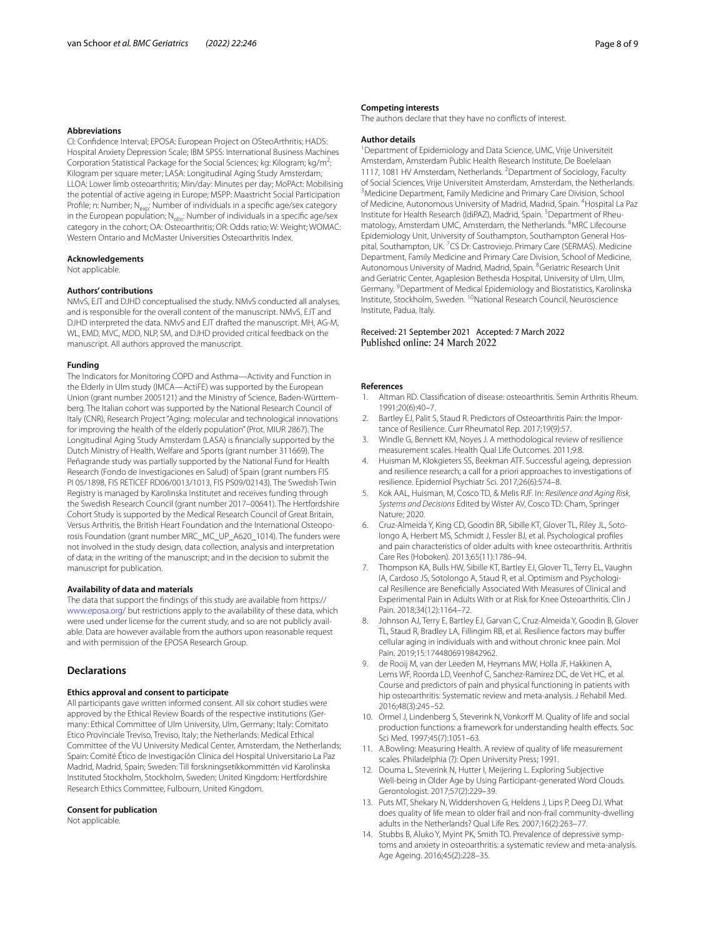#### **Abbreviations**

CI: Confdence Interval; EPOSA: European Project on OSteoArthritis; HADS: Hospital Anxiety Depression Scale; IBM SPSS: International Business Machines Corporation Statistical Package for the Social Sciences; kg: Kilogram; kg/m<sup>2</sup>: Kilogram per square meter; LASA: Longitudinal Aging Study Amsterdam; LLOA: Lower limb osteoarthritis; Min/day: Minutes per day; MoPAct: Mobilising the potential of active ageing in Europe; MSPP: Maastricht Social Participation Profile; n: Number; N<sub>exp</sub>: Number of individuals in a specific age/sex category in the European population;  $N_{\text{obs}}$ : Number of individuals in a specific age/sex category in the cohort; OA: Osteoarthritis; OR: Odds ratio; W: Weight; WOMAC: Western Ontario and McMaster Universities Osteoarthritis Index.

#### **Acknowledgements**

Not applicable.

## **Authors' contributions**

NMvS, EJT and DJHD conceptualised the study. NMvS conducted all analyses, and is responsible for the overall content of the manuscript. NMvS, EJT and DJHD interpreted the data. NMvS and EJT drafted the manuscript. MH, AG-M, WL, EMD, MVC, MDD, NLP, SM, and DJHD provided critical feedback on the manuscript. All authors approved the manuscript.

### **Funding**

The Indicators for Monitoring COPD and Asthma—Activity and Function in the Elderly in Ulm study (IMCA—ActiFE) was supported by the European Union (grant number 2005121) and the Ministry of Science, Baden-Württem‑ berg. The Italian cohort was supported by the National Research Council of Italy (CNR), Research Project "Aging: molecular and technological innovations for improving the health of the elderly population" (Prot. MIUR 2867). The Longitudinal Aging Study Amsterdam (LASA) is fnancially supported by the Dutch Ministry of Health, Welfare and Sports (grant number 311669). The Peñagrande study was partially supported by the National Fund for Health Research (Fondo de Investigaciones en Salud) of Spain (grant numbers FIS PI 05/1898, FIS RETICEF RD06/0013/1013, FIS PS09/02143). The Swedish Twin Registry is managed by Karolinska Institutet and receives funding through the Swedish Research Council (grant number 2017–00641). The Hertfordshire Cohort Study is supported by the Medical Research Council of Great Britain, Versus Arthritis, the British Heart Foundation and the International Osteoporosis Foundation (grant number MRC\_MC\_UP\_A620\_1014). The funders were not involved in the study design, data collection, analysis and interpretation of data; in the writing of the manuscript; and in the decision to submit the manuscript for publication.

#### **Availability of data and materials**

The data that support the fndings of this study are available from https:// [www.eposa.org/](http://www.eposa.org/) but restrictions apply to the availability of these data, which were used under license for the current study, and so are not publicly available. Data are however available from the authors upon reasonable request and with permission of the EPOSA Research Group.

## **Declarations**

#### **Ethics approval and consent to participate**

All participants gave written informed consent. All six cohort studies were approved by the Ethical Review Boards of the respective institutions (Germany: Ethical Committee of Ulm University, Ulm, Germany; Italy: Comitato Etico Provinciale Treviso, Treviso, Italy; the Netherlands: Medical Ethical Committee of the VU University Medical Center, Amsterdam, the Netherlands; Spain: Comité Ético de Investigación Clínica del Hospital Universitario La Paz Madrid, Madrid, Spain; Sweden: Till forskningsetikkommittén vid Karolinska Instituted Stockholm, Stockholm, Sweden; United Kingdom: Hertfordshire Research Ethics Committee, Fulbourn, United Kingdom.

#### **Consent for publication**

Not applicable.

#### **Competing interests**

The authors declare that they have no conficts of interest.

## **Author details**

<sup>1</sup> Department of Epidemiology and Data Science, UMC, Vrije Universiteit Amsterdam, Amsterdam Public Health Research Institute, De Boelelaan 1117, 1081 HV Amsterdam, Netherlands. <sup>2</sup> Department of Sociology, Faculty of Social Sciences, Vrije Universiteit Amsterdam, Amsterdam, the Netherlands. 3 <sup>3</sup> Medicine Department, Family Medicine and Primary Care Division, School of Medicine, Autonomous University of Madrid, Madrid, Spain. <sup>4</sup> Hospital La Paz Institute for Health Research (IdiPAZ), Madrid, Spain.<sup>5</sup> Department of Rheumatology, Amsterdam UMC, Amsterdam, the Netherlands. <sup>6</sup>MRC Lifecourse Epidemiology Unit, University of Southampton, Southampton General Hospital, Southampton, UK. <sup>7</sup>CS Dr. Castroviejo. Primary Care (SERMAS). Medicine Department, Family Medicine and Primary Care Division, School of Medicine, Autonomous University of Madrid, Madrid, Spain. <sup>8</sup>Geriatric Research Unit and Geriatric Center, Agaplesion Bethesda Hospital, University of Ulm, Ulm, Germany. <sup>9</sup> Department of Medical Epidemiology and Biostatistics, Karolinska Institute, Stockholm, Sweden. 10National Research Council, Neuroscience Institute, Padua, Italy.

## Received: 21 September 2021 Accepted: 7 March 2022 Published online: 24 March 2022

#### **References**

- <span id="page-7-0"></span>1. Altman RD. Classifcation of disease: osteoarthritis. Semin Arthritis Rheum. 1991;20(6):40–7.
- <span id="page-7-1"></span>Bartley EJ, Palit S, Staud R. Predictors of Osteoarthritis Pain: the Importance of Resilience. Curr Rheumatol Rep. 2017;19(9):57.
- <span id="page-7-2"></span>3. Windle G, Bennett KM, Noyes J. A methodological review of resilience measurement scales. Health Qual Life Outcomes. 2011;9:8.
- <span id="page-7-3"></span>4. Huisman M, Klokgieters SS, Beekman ATF. Successful ageing, depression and resilience research; a call for a priori approaches to investigations of resilience. Epidemiol Psychiatr Sci. 2017;26(6):574–8.
- <span id="page-7-4"></span>5. Kok AAL, Huisman, M, Cosco TD, & Melis RJF. In: *Resilience and Aging Risk, Systems and Decisions* Edited by Wister AV, Cosco TD: Cham, Springer Nature; 2020.
- <span id="page-7-5"></span>6. Cruz-Almeida Y, King CD, Goodin BR, Sibille KT, Glover TL, Riley JL, Sotolongo A, Herbert MS, Schmidt J, Fessler BJ, et al. Psychological profles and pain characteristics of older adults with knee osteoarthritis. Arthritis Care Res (Hoboken). 2013;65(11):1786–94.
- 7. Thompson KA, Bulls HW, Sibille KT, Bartley EJ, Glover TL, Terry EL, Vaughn IA, Cardoso JS, Sotolongo A, Staud R, et al. Optimism and Psychological Resilience are Benefcially Associated With Measures of Clinical and Experimental Pain in Adults With or at Risk for Knee Osteoarthritis. Clin J Pain. 2018;34(12):1164–72.
- <span id="page-7-6"></span>Johnson AJ, Terry E, Bartley EJ, Garvan C, Cruz-Almeida Y, Goodin B, Glover TL, Staud R, Bradley LA, Fillingim RB, et al. Resilience factors may bufer cellular aging in individuals with and without chronic knee pain. Mol Pain. 2019;15:1744806919842962.
- <span id="page-7-7"></span>9. de Rooij M, van der Leeden M, Heymans MW, Holla JF, Hakkinen A, Lems WF, Roorda LD, Veenhof C, Sanchez-Ramirez DC, de Vet HC, et al. Course and predictors of pain and physical functioning in patients with hip osteoarthritis: Systematic review and meta-analysis. J Rehabil Med. 2016;48(3):245–52.
- <span id="page-7-8"></span>10. Ormel J, Lindenberg S, Steverink N, Vonkorf M. Quality of life and social production functions: a framework for understanding health efects. Soc Sci Med. 1997;45(7):1051–63.
- <span id="page-7-9"></span>11. A.Bowling: Measuring Health. A review of quality of life measurement scales. Philadelphia (?): Open University Press; 1991.
- 12. Douma L, Steverink N, Hutter I, Meijering L. Exploring Subjective Well-being in Older Age by Using Participant-generated Word Clouds. Gerontologist. 2017;57(2):229–39.
- <span id="page-7-10"></span>13. Puts MT, Shekary N, Widdershoven G, Heldens J, Lips P, Deeg DJ. What does quality of life mean to older frail and non-frail community-dwelling adults in the Netherlands? Qual Life Res. 2007;16(2):263–77.
- <span id="page-7-11"></span>14. Stubbs B, Aluko Y, Myint PK, Smith TO. Prevalence of depressive symptoms and anxiety in osteoarthritis: a systematic review and meta-analysis. Age Ageing. 2016;45(2):228–35.